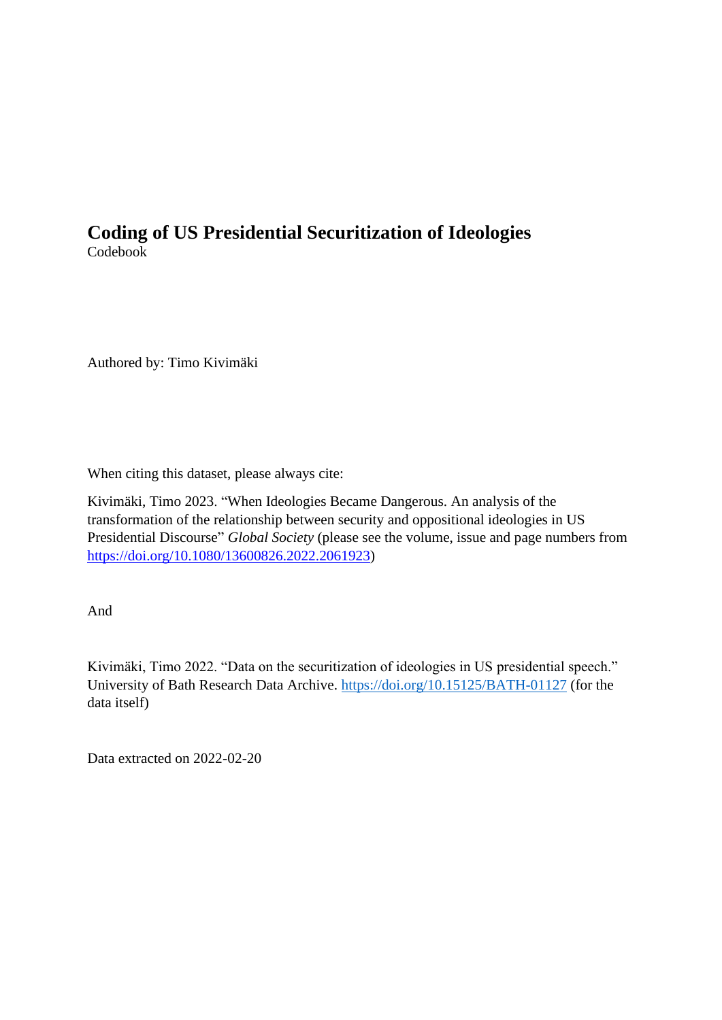## **Coding of US Presidential Securitization of Ideologies** Codebook

Authored by: Timo Kivimäki

When citing this dataset, please always cite:

Kivimäki, Timo 2023. "When Ideologies Became Dangerous. An analysis of the transformation of the relationship between security and oppositional ideologies in US Presidential Discourse" *Global Society* (please see the volume, issue and page numbers from [https://doi.org/10.1080/13600826.2022.2061923\)](https://doi.org/10.1080/13600826.2022.2061923)

And

Kivimäki, Timo 2022. "Data on the securitization of ideologies in US presidential speech." University of Bath Research Data Archive.<https://doi.org/10.15125/BATH-01127> (for the data itself)

Data extracted on 2022-02-20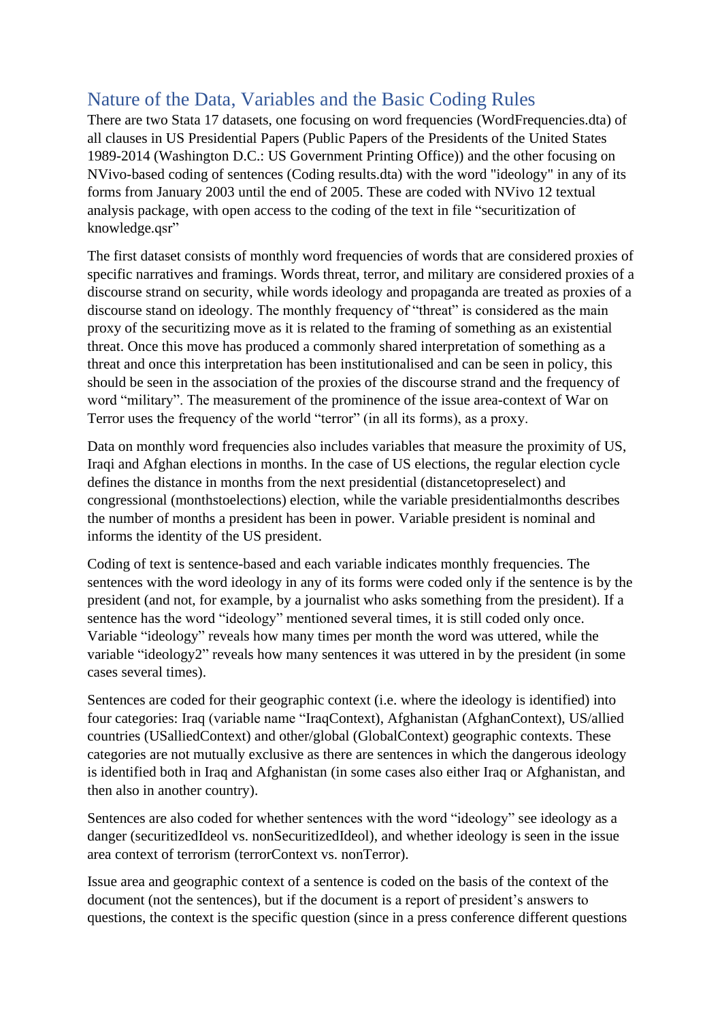## Nature of the Data, Variables and the Basic Coding Rules

There are two Stata 17 datasets, one focusing on word frequencies (WordFrequencies.dta) of all clauses in US Presidential Papers (Public Papers of the Presidents of the United States 1989-2014 (Washington D.C.: US Government Printing Office)) and the other focusing on NVivo-based coding of sentences (Coding results.dta) with the word "ideology" in any of its forms from January 2003 until the end of 2005. These are coded with NVivo 12 textual analysis package, with open access to the coding of the text in file "securitization of knowledge.qsr"

The first dataset consists of monthly word frequencies of words that are considered proxies of specific narratives and framings. Words threat, terror, and military are considered proxies of a discourse strand on security, while words ideology and propaganda are treated as proxies of a discourse stand on ideology. The monthly frequency of "threat" is considered as the main proxy of the securitizing move as it is related to the framing of something as an existential threat. Once this move has produced a commonly shared interpretation of something as a threat and once this interpretation has been institutionalised and can be seen in policy, this should be seen in the association of the proxies of the discourse strand and the frequency of word "military". The measurement of the prominence of the issue area-context of War on Terror uses the frequency of the world "terror" (in all its forms), as a proxy.

Data on monthly word frequencies also includes variables that measure the proximity of US, Iraqi and Afghan elections in months. In the case of US elections, the regular election cycle defines the distance in months from the next presidential (distancetopreselect) and congressional (monthstoelections) election, while the variable presidentialmonths describes the number of months a president has been in power. Variable president is nominal and informs the identity of the US president.

Coding of text is sentence-based and each variable indicates monthly frequencies. The sentences with the word ideology in any of its forms were coded only if the sentence is by the president (and not, for example, by a journalist who asks something from the president). If a sentence has the word "ideology" mentioned several times, it is still coded only once. Variable "ideology" reveals how many times per month the word was uttered, while the variable "ideology2" reveals how many sentences it was uttered in by the president (in some cases several times).

Sentences are coded for their geographic context (i.e. where the ideology is identified) into four categories: Iraq (variable name "IraqContext), Afghanistan (AfghanContext), US/allied countries (USalliedContext) and other/global (GlobalContext) geographic contexts. These categories are not mutually exclusive as there are sentences in which the dangerous ideology is identified both in Iraq and Afghanistan (in some cases also either Iraq or Afghanistan, and then also in another country).

Sentences are also coded for whether sentences with the word "ideology" see ideology as a danger (securitizedIdeol vs. nonSecuritizedIdeol), and whether ideology is seen in the issue area context of terrorism (terrorContext vs. nonTerror).

Issue area and geographic context of a sentence is coded on the basis of the context of the document (not the sentences), but if the document is a report of president's answers to questions, the context is the specific question (since in a press conference different questions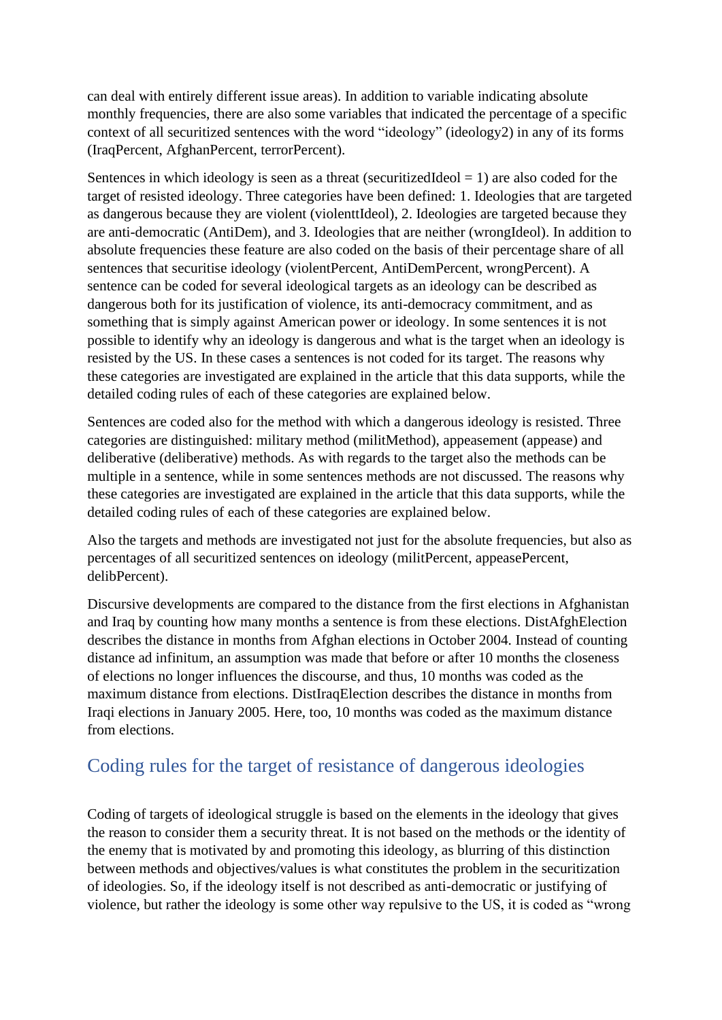can deal with entirely different issue areas). In addition to variable indicating absolute monthly frequencies, there are also some variables that indicated the percentage of a specific context of all securitized sentences with the word "ideology" (ideology2) in any of its forms (IraqPercent, AfghanPercent, terrorPercent).

Sentences in which ideology is seen as a threat (securitizedIdeol  $= 1$ ) are also coded for the target of resisted ideology. Three categories have been defined: 1. Ideologies that are targeted as dangerous because they are violent (violenttIdeol), 2. Ideologies are targeted because they are anti-democratic (AntiDem), and 3. Ideologies that are neither (wrongIdeol). In addition to absolute frequencies these feature are also coded on the basis of their percentage share of all sentences that securitise ideology (violentPercent, AntiDemPercent, wrongPercent). A sentence can be coded for several ideological targets as an ideology can be described as dangerous both for its justification of violence, its anti-democracy commitment, and as something that is simply against American power or ideology. In some sentences it is not possible to identify why an ideology is dangerous and what is the target when an ideology is resisted by the US. In these cases a sentences is not coded for its target. The reasons why these categories are investigated are explained in the article that this data supports, while the detailed coding rules of each of these categories are explained below.

Sentences are coded also for the method with which a dangerous ideology is resisted. Three categories are distinguished: military method (militMethod), appeasement (appease) and deliberative (deliberative) methods. As with regards to the target also the methods can be multiple in a sentence, while in some sentences methods are not discussed. The reasons why these categories are investigated are explained in the article that this data supports, while the detailed coding rules of each of these categories are explained below.

Also the targets and methods are investigated not just for the absolute frequencies, but also as percentages of all securitized sentences on ideology (militPercent, appeasePercent, delibPercent).

Discursive developments are compared to the distance from the first elections in Afghanistan and Iraq by counting how many months a sentence is from these elections. DistAfghElection describes the distance in months from Afghan elections in October 2004. Instead of counting distance ad infinitum, an assumption was made that before or after 10 months the closeness of elections no longer influences the discourse, and thus, 10 months was coded as the maximum distance from elections. DistIraqElection describes the distance in months from Iraqi elections in January 2005. Here, too, 10 months was coded as the maximum distance from elections.

## Coding rules for the target of resistance of dangerous ideologies

Coding of targets of ideological struggle is based on the elements in the ideology that gives the reason to consider them a security threat. It is not based on the methods or the identity of the enemy that is motivated by and promoting this ideology, as blurring of this distinction between methods and objectives/values is what constitutes the problem in the securitization of ideologies. So, if the ideology itself is not described as anti-democratic or justifying of violence, but rather the ideology is some other way repulsive to the US, it is coded as "wrong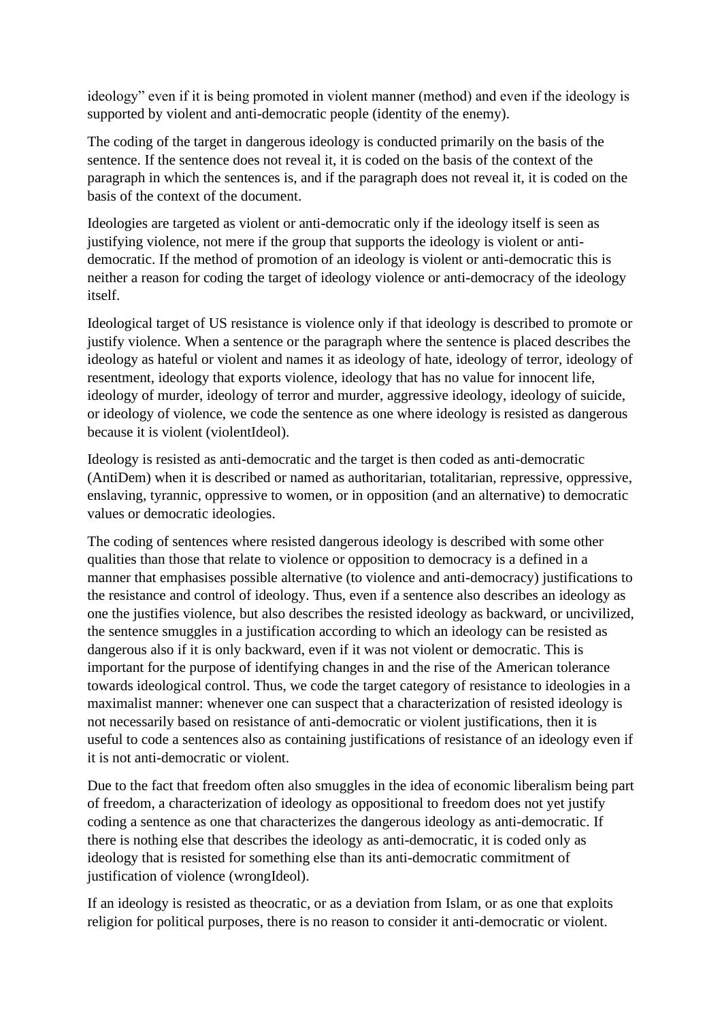ideology" even if it is being promoted in violent manner (method) and even if the ideology is supported by violent and anti-democratic people (identity of the enemy).

The coding of the target in dangerous ideology is conducted primarily on the basis of the sentence. If the sentence does not reveal it, it is coded on the basis of the context of the paragraph in which the sentences is, and if the paragraph does not reveal it, it is coded on the basis of the context of the document.

Ideologies are targeted as violent or anti-democratic only if the ideology itself is seen as justifying violence, not mere if the group that supports the ideology is violent or antidemocratic. If the method of promotion of an ideology is violent or anti-democratic this is neither a reason for coding the target of ideology violence or anti-democracy of the ideology itself.

Ideological target of US resistance is violence only if that ideology is described to promote or justify violence. When a sentence or the paragraph where the sentence is placed describes the ideology as hateful or violent and names it as ideology of hate, ideology of terror, ideology of resentment, ideology that exports violence, ideology that has no value for innocent life, ideology of murder, ideology of terror and murder, aggressive ideology, ideology of suicide, or ideology of violence, we code the sentence as one where ideology is resisted as dangerous because it is violent (violentIdeol).

Ideology is resisted as anti-democratic and the target is then coded as anti-democratic (AntiDem) when it is described or named as authoritarian, totalitarian, repressive, oppressive, enslaving, tyrannic, oppressive to women, or in opposition (and an alternative) to democratic values or democratic ideologies.

The coding of sentences where resisted dangerous ideology is described with some other qualities than those that relate to violence or opposition to democracy is a defined in a manner that emphasises possible alternative (to violence and anti-democracy) justifications to the resistance and control of ideology. Thus, even if a sentence also describes an ideology as one the justifies violence, but also describes the resisted ideology as backward, or uncivilized, the sentence smuggles in a justification according to which an ideology can be resisted as dangerous also if it is only backward, even if it was not violent or democratic. This is important for the purpose of identifying changes in and the rise of the American tolerance towards ideological control. Thus, we code the target category of resistance to ideologies in a maximalist manner: whenever one can suspect that a characterization of resisted ideology is not necessarily based on resistance of anti-democratic or violent justifications, then it is useful to code a sentences also as containing justifications of resistance of an ideology even if it is not anti-democratic or violent.

Due to the fact that freedom often also smuggles in the idea of economic liberalism being part of freedom, a characterization of ideology as oppositional to freedom does not yet justify coding a sentence as one that characterizes the dangerous ideology as anti-democratic. If there is nothing else that describes the ideology as anti-democratic, it is coded only as ideology that is resisted for something else than its anti-democratic commitment of justification of violence (wrongIdeol).

If an ideology is resisted as theocratic, or as a deviation from Islam, or as one that exploits religion for political purposes, there is no reason to consider it anti-democratic or violent.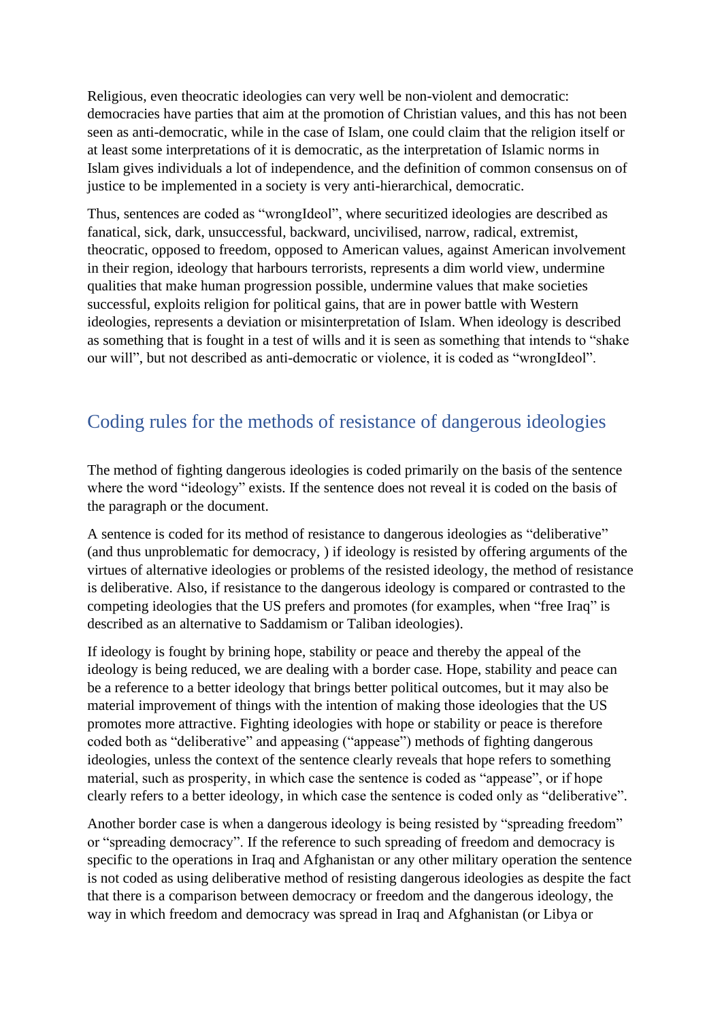Religious, even theocratic ideologies can very well be non-violent and democratic: democracies have parties that aim at the promotion of Christian values, and this has not been seen as anti-democratic, while in the case of Islam, one could claim that the religion itself or at least some interpretations of it is democratic, as the interpretation of Islamic norms in Islam gives individuals a lot of independence, and the definition of common consensus on of justice to be implemented in a society is very anti-hierarchical, democratic.

Thus, sentences are coded as "wrongIdeol", where securitized ideologies are described as fanatical, sick, dark, unsuccessful, backward, uncivilised, narrow, radical, extremist, theocratic, opposed to freedom, opposed to American values, against American involvement in their region, ideology that harbours terrorists, represents a dim world view, undermine qualities that make human progression possible, undermine values that make societies successful, exploits religion for political gains, that are in power battle with Western ideologies, represents a deviation or misinterpretation of Islam. When ideology is described as something that is fought in a test of wills and it is seen as something that intends to "shake our will", but not described as anti-democratic or violence, it is coded as "wrongIdeol".

## Coding rules for the methods of resistance of dangerous ideologies

The method of fighting dangerous ideologies is coded primarily on the basis of the sentence where the word "ideology" exists. If the sentence does not reveal it is coded on the basis of the paragraph or the document.

A sentence is coded for its method of resistance to dangerous ideologies as "deliberative" (and thus unproblematic for democracy, ) if ideology is resisted by offering arguments of the virtues of alternative ideologies or problems of the resisted ideology, the method of resistance is deliberative. Also, if resistance to the dangerous ideology is compared or contrasted to the competing ideologies that the US prefers and promotes (for examples, when "free Iraq" is described as an alternative to Saddamism or Taliban ideologies).

If ideology is fought by brining hope, stability or peace and thereby the appeal of the ideology is being reduced, we are dealing with a border case. Hope, stability and peace can be a reference to a better ideology that brings better political outcomes, but it may also be material improvement of things with the intention of making those ideologies that the US promotes more attractive. Fighting ideologies with hope or stability or peace is therefore coded both as "deliberative" and appeasing ("appease") methods of fighting dangerous ideologies, unless the context of the sentence clearly reveals that hope refers to something material, such as prosperity, in which case the sentence is coded as "appease", or if hope clearly refers to a better ideology, in which case the sentence is coded only as "deliberative".

Another border case is when a dangerous ideology is being resisted by "spreading freedom" or "spreading democracy". If the reference to such spreading of freedom and democracy is specific to the operations in Iraq and Afghanistan or any other military operation the sentence is not coded as using deliberative method of resisting dangerous ideologies as despite the fact that there is a comparison between democracy or freedom and the dangerous ideology, the way in which freedom and democracy was spread in Iraq and Afghanistan (or Libya or